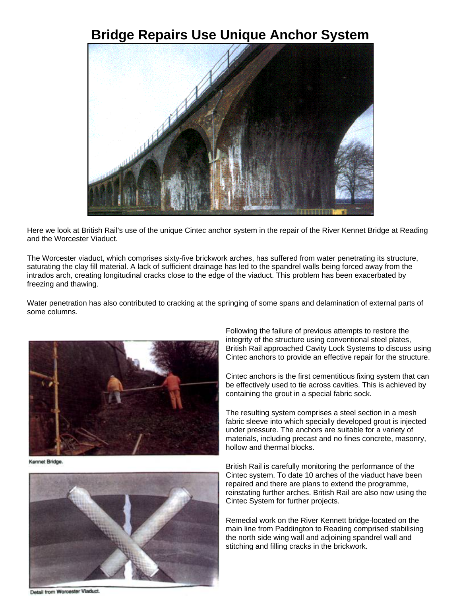## **Bridge Repairs Use Unique Anchor System**



Here we look at British Rail's use of the unique Cintec anchor system in the repair of the River Kennet Bridge at Reading and the Worcester Viaduct.

The Worcester viaduct, which comprises sixty-five brickwork arches, has suffered from water penetrating its structure, saturating the clay fill material. A lack of sufficient drainage has led to the spandrel walls being forced away from the intrados arch, creating longitudinal cracks close to the edge of the viaduct. This problem has been exacerbated by freezing and thawing.

Water penetration has also contributed to cracking at the springing of some spans and delamination of external parts of some columns.



Kennet Bridge.



Following the failure of previous attempts to restore the integrity of the structure using conventional steel plates, British Rail approached Cavity Lock Systems to discuss using Cintec anchors to provide an effective repair for the structure.

Cintec anchors is the first cementitious fixing system that can be effectively used to tie across cavities. This is achieved by containing the grout in a special fabric sock.

The resulting system comprises a steel section in a mesh fabric sleeve into which specially developed grout is injected under pressure. The anchors are suitable for a variety of materials, including precast and no fines concrete, masonry, hollow and thermal blocks.

British Rail is carefully monitoring the performance of the Cintec system. To date 10 arches of the viaduct have been repaired and there are plans to extend the programme, reinstating further arches. British Rail are also now using the Cintec System for further projects.

Remedial work on the River Kennett bridge-located on the main line from Paddington to Reading comprised stabilising the north side wing wall and adjoining spandrel wall and stitching and filling cracks in the brickwork.

Detail from Worcester Viaduct.